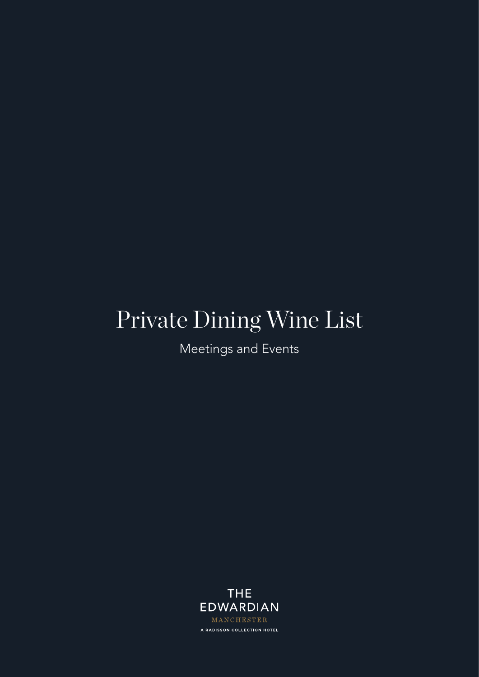# Private Dining Wine List

Meetings and Events

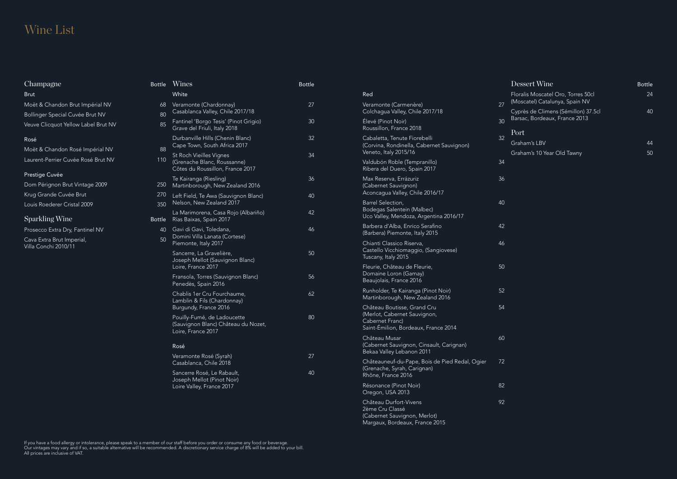If you have a food allergy or intolerance, please speak to a member of our staff before you order or consume any food or beverage. Our vintages may vary and if so, a suitable alternative will be recommended. A discretionary service charge of 8% will be added to your bill. All prices are inclusive of VAT.

| Dessert Wine                                                         | Bottle |
|----------------------------------------------------------------------|--------|
| Floralis Moscatel Oro, Torres 50cl<br>(Moscatel) Catalunya, Spain NV | 24     |
| Cyprès de Climens (Sémillon) 37.5cl<br>Barsac, Bordeaux, France 2013 | 40     |
| Port                                                                 |        |
| Graham's LBV                                                         | 44     |
| Graham's 10 Year Old Tawny                                           | 50     |

### Wine List

| Champagne                                         | <b>Bottle</b> | Wines                                                                                      | <b>Bottle</b> |                                                                                         |    |
|---------------------------------------------------|---------------|--------------------------------------------------------------------------------------------|---------------|-----------------------------------------------------------------------------------------|----|
| <b>Brut</b>                                       |               | White                                                                                      |               | Red                                                                                     |    |
| Moët & Chandon Brut Impérial NV                   | 68            | Veramonte (Chardonnay)                                                                     | 27            | Veramonte (Carmenère)                                                                   | 27 |
| Bollinger Special Cuvée Brut NV                   | 80            | Casablanca Valley, Chile 2017/18                                                           |               | Colchagua Valley, Chile 2017/18                                                         |    |
| Veuve Clicquot Yellow Label Brut NV               | 85            | Fantinel 'Borgo Tesis' (Pinot Grigio)<br>Grave del Friuli, Italy 2018                      | 30            | Élevé (Pinot Noir)<br>Roussillon, France 2018                                           | 30 |
| Rosé                                              |               | Durbanville Hills (Chenin Blanc)                                                           | 32            | Cabaletta, Tenute Fiorebelli                                                            | 32 |
| Moët & Chandon Rosé Impérial NV                   | 88            | Cape Town, South Africa 2017                                                               |               | (Corvina, Rondinella, Cabernet Sauvignon)<br>Veneto, Italy 2015/16                      |    |
| Laurent-Perrier Cuvée Rosé Brut NV                | 110           | St Roch Vieilles Vignes<br>(Grenache Blanc, Roussanne)<br>Côtes du Roussillon, France 2017 | 34            | Valdubón Roble (Tempranillo)<br>Ribera del Duero, Spain 2017                            | 34 |
| Prestige Cuvée                                    |               | Te Kairanga (Riesling)                                                                     | 36            | Max Reserva, Errázuriz                                                                  | 36 |
| Dom Pérignon Brut Vintage 2009                    | 250           | Martinborough, New Zealand 2016                                                            |               | (Cabernet Sauvignon)                                                                    |    |
| Krug Grande Cuvée Brut                            | 270           | Left Field, Te Awa (Sauvignon Blanc)                                                       | 40            | Aconcagua Valley, Chile 2016/17                                                         |    |
| Louis Roederer Cristal 2009                       | 350           | Nelson, New Zealand 2017                                                                   |               | Barrel Selection,<br>Bodegas Salentein (Malbec)                                         | 40 |
| <b>Sparkling Wine</b>                             | <b>Bottle</b> | La Marimorena, Casa Rojo (Albariño)<br>Rías Baixas, Spain 2017                             | 42            | Uco Valley, Mendoza, Argentina 2016/17                                                  |    |
| Prosecco Extra Dry, Fantinel NV                   | -40           | Gavi di Gavi, Toledana,<br>Domini Villa Lanata (Cortese)<br>Piemonte, Italy 2017           | 46            | Barbera d'Alba, Enrico Serafino<br>(Barbera) Piemonte, Italy 2015                       | 42 |
| Cava Extra Brut Imperial,<br>Villa Conchi 2010/11 | 50            |                                                                                            |               | Chianti Classico Riserva,                                                               | 46 |
|                                                   |               | Sancerre, La Gravelière,<br>Joseph Mellot (Sauvignon Blanc)                                | 50            | Castello Vicchiomaggio, (Sangiovese)<br>Tuscany, Italy 2015                             |    |
|                                                   |               | Loire, France 2017                                                                         |               | Fleurie, Château de Fleurie,                                                            | 50 |
|                                                   |               | Fransola, Torres (Sauvignon Blanc)<br>Penedès, Spain 2016                                  | 56            | Domaine Loron (Gamay)<br>Beaujolais, France 2016                                        |    |
|                                                   |               | Chablis 1er Cru Fourchaume,<br>Lamblin & Fils (Chardonnay)                                 | 62            | Runholder, Te Kairanga (Pinot Noir)<br>Martinborough, New Zealand 2016                  | 52 |
|                                                   |               | Burgundy, France 2016                                                                      |               | Château Boutisse, Grand Cru                                                             | 54 |
|                                                   |               | Pouilly-Fumé, de Ladoucette<br>(Sauvignon Blanc) Château du Nozet,<br>Loire, France 2017   | 80            | (Merlot, Cabernet Sauvignon,<br>Cabernet Franc)<br>Saint-Émilion, Bordeaux, France 2014 |    |
|                                                   |               |                                                                                            |               | Château Musar                                                                           | 60 |
|                                                   |               | Rosé                                                                                       |               | (Cabernet Sauvignon, Cinsault, Carignan)<br>Bekaa Valley Lebanon 2011                   |    |
|                                                   |               | Veramonte Rosé (Syrah)<br>Casablanca, Chile 2018                                           | 27            | Châteauneuf-du-Pape, Bois de Pied Redal, Ogier<br>(Grenache, Syrah, Carignan)           | 72 |
|                                                   |               | Sancerre Rosé, Le Rabault,<br>Joseph Mellot (Pinot Noir)                                   | 40            | Rhône, France 2016                                                                      |    |
|                                                   |               | Loire Valley, France 2017                                                                  |               | Résonance (Pinot Noir)<br>Oregon, USA 2013                                              | 82 |
|                                                   |               |                                                                                            |               | Château Durfort-Vivens<br>2ème Cru Classé                                               | 92 |

(Cabernet Sauvignon, Merlot) Margaux, Bordeaux, France 2015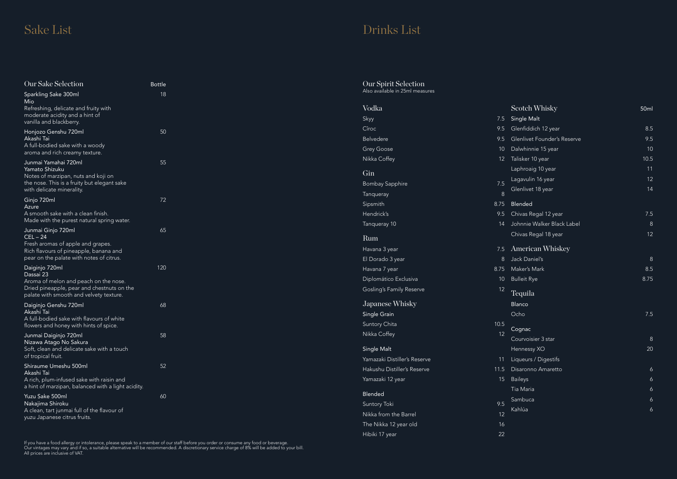If you have a food allergy or intolerance, please speak to a member of our staff before you order or consume any food or beverage. Our vintages may vary and if so, a suitable alternative will be recommended. A discretionary service charge of 8% will be added to your bill. All prices are inclusive of VAT.

## Sake List Drinks List

| Scotch Whisky               | 50 <sub>ml</sub> |
|-----------------------------|------------------|
| <b>Single Malt</b>          |                  |
| Glenfiddich 12 year         | 8.5              |
| Glenlivet Founder's Reserve | 9.5              |
| Dalwhinnie 15 year          | 10               |
| Talisker 10 year            | 10.5             |
| Laphroaig 10 year           | 11               |
| Lagavulin 16 year           | 12               |
| Glenlivet 18 year           | 14               |
| Blended                     |                  |
| Chivas Regal 12 year        | 7.5              |
| Johnnie Walker Black Label  | 8                |
| Chivas Regal 18 year        | 12               |
| American Whiskey            |                  |
| Jack Daniel's               | 8                |
| Maker's Mark                | 8.5              |
| <b>Bulleit Rye</b>          | 8.75             |
| Tequila                     |                  |
| Blanco                      |                  |
| Ocho                        | 7.5              |
| Cognac                      |                  |
| Courvoisier 3 star          | 8                |
| Hennessy XO                 | 20               |
| Liqueurs / Digestifs        |                  |
| Disaronno Amaretto          | 6                |
| <b>Baileys</b>              | 6                |
| Tia Maria                   | 6                |
| Sambuca                     | 6                |
| Kahlúa                      | 6                |

| Our Sake Selection                                                                    | <b>Bottle</b> | Our Spirit Selection            |      |
|---------------------------------------------------------------------------------------|---------------|---------------------------------|------|
| Sparkling Sake 300ml                                                                  | 18            | Also available in 25ml measures |      |
| Mio<br>Refreshing, delicate and fruity with                                           |               | Vodka                           |      |
| moderate acidity and a hint of<br>vanilla and blackberry.                             |               | Skyy                            | 7.5  |
| Honjozo Genshu 720ml                                                                  | 50            | Cîroc                           | 9.5  |
| Akashi Tai                                                                            |               | Belvedere                       | 9.5  |
| A full-bodied sake with a woody<br>aroma and rich creamy texture.                     |               | <b>Grey Goose</b>               | 10   |
| Junmai Yamahai 720ml                                                                  | 55            | Nikka Coffey                    | 12   |
| Yamato Shizuku<br>Notes of marzipan, nuts and koji on                                 |               | Gin                             |      |
| the nose. This is a fruity but elegant sake<br>with delicate minerality.              |               | <b>Bombay Sapphire</b>          | 7.5  |
| Ginjo 720ml                                                                           | 72            | Tanqueray                       | 8    |
| Azure                                                                                 |               | Sipsmith                        | 8.75 |
| A smooth sake with a clean finish.<br>Made with the purest natural spring water.      |               | Hendrick's                      | 9.5  |
| Junmai Ginjo 720ml                                                                    | 65            | Tanqueray 10                    | 14   |
| $CEL - 24$                                                                            |               | Rum                             |      |
| Fresh aromas of apple and grapes.<br>Rich flavours of pineapple, banana and           |               | Havana 3 year                   | 7.5  |
| pear on the palate with notes of citrus.                                              |               | El Dorado 3 year                | 8    |
| Daiginjo 720ml                                                                        | 120           | Havana 7 year                   | 8.75 |
| Dassai 23<br>Aroma of melon and peach on the nose.                                    |               | Diplomático Exclusiva           | 10   |
| Dried pineapple, pear and chestnuts on the<br>palate with smooth and velvety texture. |               | Gosling's Family Reserve        | 12   |
| Daiginjo Genshu 720ml                                                                 | 68            | Japanese Whisky                 |      |
| Akashi Tai<br>A full-bodied sake with flavours of white                               |               | Single Grain                    |      |
| flowers and honey with hints of spice.                                                |               | Suntory Chita                   | 10.5 |
| Junmai Daiginjo 720ml                                                                 | 58            | Nikka Coffey                    | 12   |
| Nizawa Atago No Sakura<br>Soft, clean and delicate sake with a touch                  |               | Single Malt                     |      |
| of tropical fruit.                                                                    |               | Yamazaki Distiller's Reserve    | 11   |
| Shiraume Umeshu 500ml                                                                 | 52            | Hakushu Distiller's Reserve     | 11.5 |
| Akashi Tai<br>A rich, plum-infused sake with raisin and                               |               | Yamazaki 12 year                | 15   |
| a hint of marzipan, balanced with a light acidity.                                    |               |                                 |      |
| Yuzu Sake 500ml                                                                       | 60            | Blended                         |      |
| Nakajima Shiroku<br>A clean, tart junmai full of the flavour of                       |               | Suntory Toki                    | 9.5  |
| yuzu Japanese citrus fruits.                                                          |               | Nikka from the Barrel           | 12   |
|                                                                                       |               | The Nikka 12 year old           | 16   |

Hibiki 17 year 22